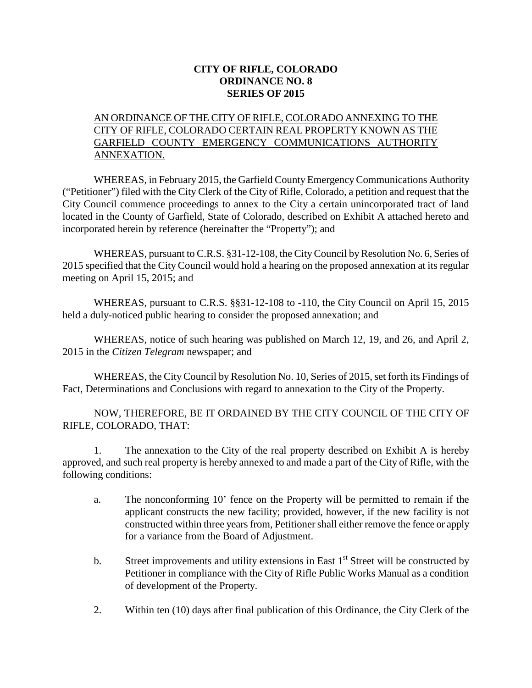## **CITY OF RIFLE, COLORADO ORDINANCE NO. 8 SERIES OF 2015**

## AN ORDINANCE OF THE CITY OF RIFLE, COLORADO ANNEXING TO THE CITY OF RIFLE, COLORADO CERTAIN REAL PROPERTY KNOWN AS THE GARFIELD COUNTY EMERGENCY COMMUNICATIONS AUTHORITY ANNEXATION.

WHEREAS, in February 2015, the Garfield County Emergency Communications Authority ("Petitioner") filed with the City Clerk of the City of Rifle, Colorado, a petition and request that the City Council commence proceedings to annex to the City a certain unincorporated tract of land located in the County of Garfield, State of Colorado, described on Exhibit A attached hereto and incorporated herein by reference (hereinafter the "Property"); and

WHEREAS, pursuant to C.R.S. §31-12-108, the City Council by Resolution No. 6, Series of 2015 specified that the City Council would hold a hearing on the proposed annexation at its regular meeting on April 15, 2015; and

WHEREAS, pursuant to C.R.S. §§31-12-108 to -110, the City Council on April 15, 2015 held a duly-noticed public hearing to consider the proposed annexation; and

WHEREAS, notice of such hearing was published on March 12, 19, and 26, and April 2, 2015 in the *Citizen Telegram* newspaper; and

WHEREAS, the City Council by Resolution No. 10, Series of 2015, set forth its Findings of Fact, Determinations and Conclusions with regard to annexation to the City of the Property.

NOW, THEREFORE, BE IT ORDAINED BY THE CITY COUNCIL OF THE CITY OF RIFLE, COLORADO, THAT:

1. The annexation to the City of the real property described on Exhibit A is hereby approved, and such real property is hereby annexed to and made a part of the City of Rifle, with the following conditions:

- a. The nonconforming 10' fence on the Property will be permitted to remain if the applicant constructs the new facility; provided, however, if the new facility is not constructed within three years from, Petitioner shall either remove the fence or apply for a variance from the Board of Adjustment.
- b. Street improvements and utility extensions in East  $1<sup>st</sup>$  Street will be constructed by Petitioner in compliance with the City of Rifle Public Works Manual as a condition of development of the Property.
- 2. Within ten (10) days after final publication of this Ordinance, the City Clerk of the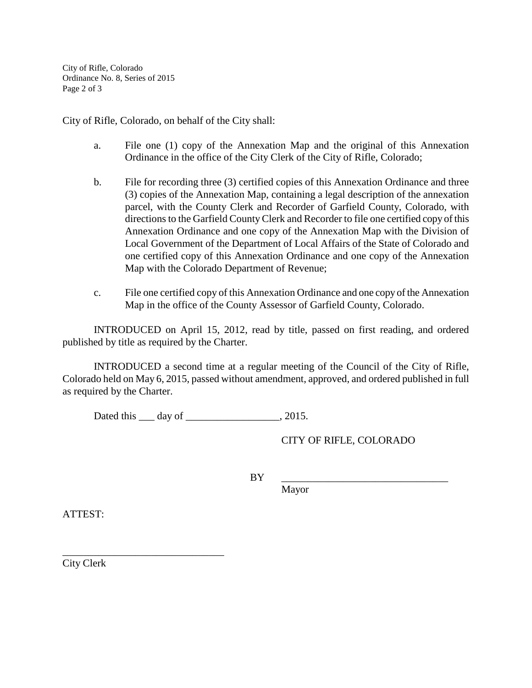City of Rifle, Colorado Ordinance No. 8, Series of 2015 Page 2 of 3

City of Rifle, Colorado, on behalf of the City shall:

- a. File one (1) copy of the Annexation Map and the original of this Annexation Ordinance in the office of the City Clerk of the City of Rifle, Colorado;
- b. File for recording three (3) certified copies of this Annexation Ordinance and three (3) copies of the Annexation Map, containing a legal description of the annexation parcel, with the County Clerk and Recorder of Garfield County, Colorado, with directions to the Garfield County Clerk and Recorder to file one certified copy of this Annexation Ordinance and one copy of the Annexation Map with the Division of Local Government of the Department of Local Affairs of the State of Colorado and one certified copy of this Annexation Ordinance and one copy of the Annexation Map with the Colorado Department of Revenue;
- c. File one certified copy of this Annexation Ordinance and one copy of the Annexation Map in the office of the County Assessor of Garfield County, Colorado.

INTRODUCED on April 15, 2012, read by title, passed on first reading, and ordered published by title as required by the Charter.

INTRODUCED a second time at a regular meeting of the Council of the City of Rifle, Colorado held on May 6, 2015, passed without amendment, approved, and ordered published in full as required by the Charter.

Dated this \_\_\_ day of \_\_\_\_\_\_\_\_\_\_\_\_\_\_\_\_\_, 2015.

CITY OF RIFLE, COLORADO

BY \_\_\_\_\_\_\_\_\_\_\_\_\_\_\_\_\_\_\_\_\_\_\_\_\_\_\_\_\_\_\_\_

Mayor

ATTEST:

City Clerk

\_\_\_\_\_\_\_\_\_\_\_\_\_\_\_\_\_\_\_\_\_\_\_\_\_\_\_\_\_\_\_